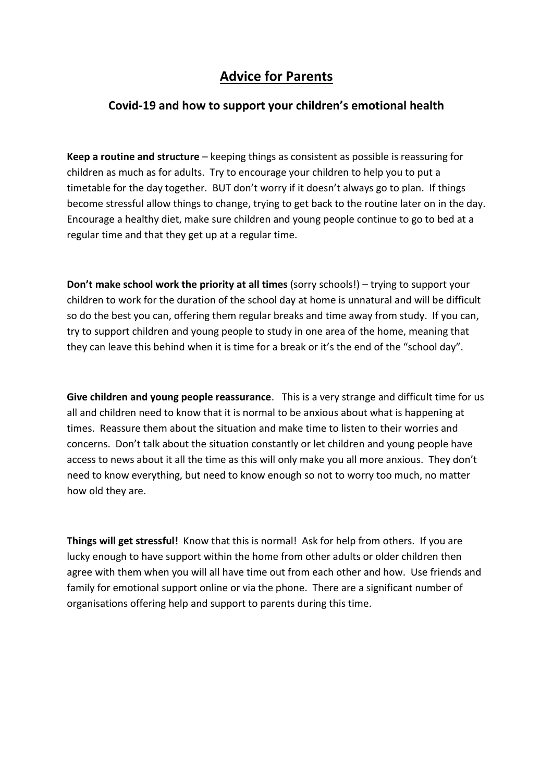## **Advice for Parents**

## **Covid-19 and how to support your children's emotional health**

**Keep a routine and structure** – keeping things as consistent as possible is reassuring for children as much as for adults. Try to encourage your children to help you to put a timetable for the day together. BUT don't worry if it doesn't always go to plan. If things become stressful allow things to change, trying to get back to the routine later on in the day. Encourage a healthy diet, make sure children and young people continue to go to bed at a regular time and that they get up at a regular time.

**Don't make school work the priority at all times** (sorry schools!) – trying to support your children to work for the duration of the school day at home is unnatural and will be difficult so do the best you can, offering them regular breaks and time away from study. If you can, try to support children and young people to study in one area of the home, meaning that they can leave this behind when it is time for a break or it's the end of the "school day".

**Give children and young people reassurance**. This is a very strange and difficult time for us all and children need to know that it is normal to be anxious about what is happening at times. Reassure them about the situation and make time to listen to their worries and concerns. Don't talk about the situation constantly or let children and young people have access to news about it all the time as this will only make you all more anxious. They don't need to know everything, but need to know enough so not to worry too much, no matter how old they are.

**Things will get stressful!** Know that this is normal! Ask for help from others. If you are lucky enough to have support within the home from other adults or older children then agree with them when you will all have time out from each other and how. Use friends and family for emotional support online or via the phone. There are a significant number of organisations offering help and support to parents during this time.